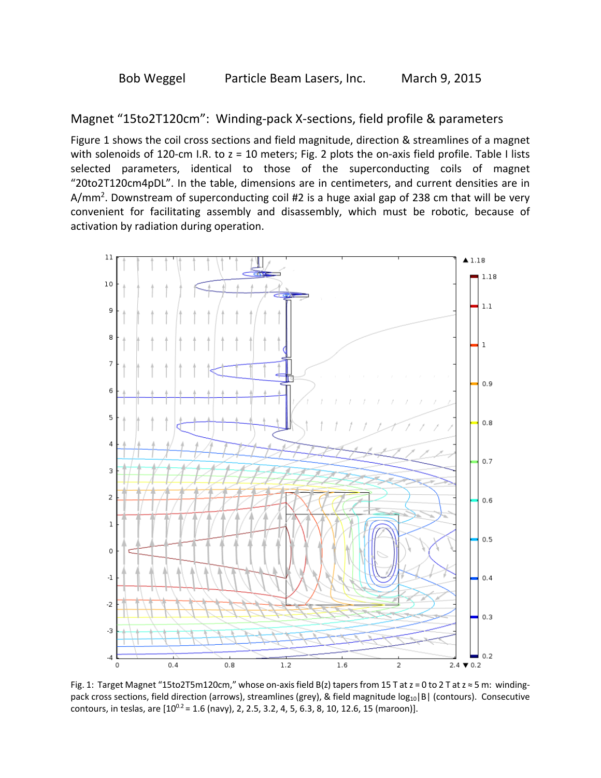Magnet "15to2T120cm": Winding‐pack X‐sections, field profile & parameters

Figure 1 shows the coil cross sections and field magnitude, direction & streamlines of a magnet with solenoids of 120-cm I.R. to  $z = 10$  meters; Fig. 2 plots the on-axis field profile. Table I lists selected parameters, identical to those of the superconducting coils of magnet "20to2T120cm4pDL". In the table, dimensions are in centimeters, and current densities are in A/mm<sup>2</sup>. Downstream of superconducting coil #2 is a huge axial gap of 238 cm that will be very convenient for facilitating assembly and disassembly, which must be robotic, because of activation by radiation during operation.



Fig. 1: Target Magnet "15to2T5m120cm," whose on-axis field B(z) tapers from 15 T at  $z = 0$  to 2 T at  $z \approx 5$  m: windingpack cross sections, field direction (arrows), streamlines (grey), & field magnitude log<sub>10</sub>|B| (contours). Consecutive contours, in teslas, are  $[10^{0.2} = 1.6$  (navy), 2, 2.5, 3.2, 4, 5, 6.3, 8, 10, 12.6, 15 (maroon)].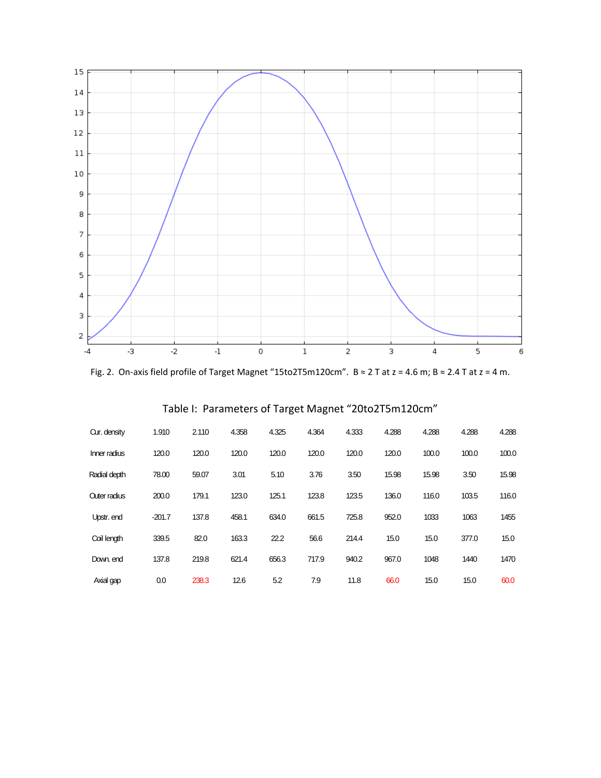

Fig. 2. On‐axis field profile of Target Magnet "15to2T5m120cm". B ≈ 2 T at z = 4.6 m; B ≈ 2.4 T at z = 4 m.

|  | Table I: Parameters of Target Magnet "20to2T5m120cm" |
|--|------------------------------------------------------|
|--|------------------------------------------------------|

| Cur. density | 1.910    | 2.110 | 4.358 | 4.325 | 4.364 | 4.333 | 4.288 | 4.288 | 4.288 | 4.288 |
|--------------|----------|-------|-------|-------|-------|-------|-------|-------|-------|-------|
| Inner radius | 120.0    | 120.0 | 120.0 | 120.0 | 120.0 | 120.0 | 120.0 | 100.0 | 100.0 | 100.0 |
| Radial depth | 78.00    | 59.07 | 3.01  | 5.10  | 3.76  | 3.50  | 15.98 | 15.98 | 3.50  | 15.98 |
| Outer radius | 200.0    | 179.1 | 123.0 | 125.1 | 123.8 | 123.5 | 136.0 | 116.0 | 103.5 | 116.0 |
| Upstr. end   | $-201.7$ | 137.8 | 458.1 | 634.0 | 661.5 | 725.8 | 952.0 | 1033  | 1063  | 1455  |
| Coil length  | 339.5    | 82.0  | 163.3 | 22.2  | 56.6  | 214.4 | 15.0  | 15.0  | 377.0 | 15.0  |
| Down, end    | 137.8    | 219.8 | 621.4 | 656.3 | 717.9 | 940.2 | 967.0 | 1048  | 1440  | 1470  |
| Axial gap    | 0.0      | 238.3 | 12.6  | 5.2   | 7.9   | 11.8  | 66.0  | 15.0  | 15.0  | 60.0  |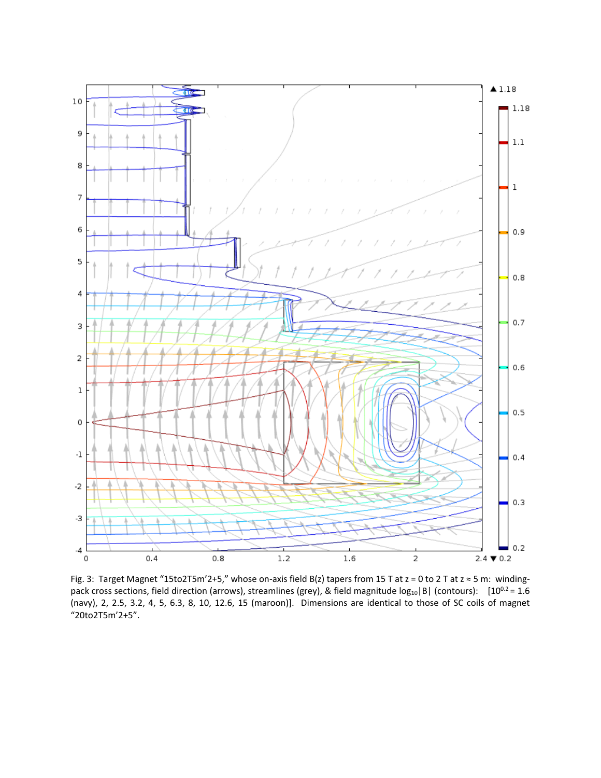

Fig. 3: Target Magnet "15to2T5m'2+5," whose on-axis field B(z) tapers from 15 T at  $z = 0$  to 2 T at  $z \approx 5$  m: windingpack cross sections, field direction (arrows), streamlines (grey), & field magnitude  $log_{10}|B|$  (contours):  $[10^{0.2} = 1.6]$ (navy), 2, 2.5, 3.2, 4, 5, 6.3, 8, 10, 12.6, 15 (maroon)]. Dimensions are identical to those of SC coils of magnet "20to2T5m'2+5".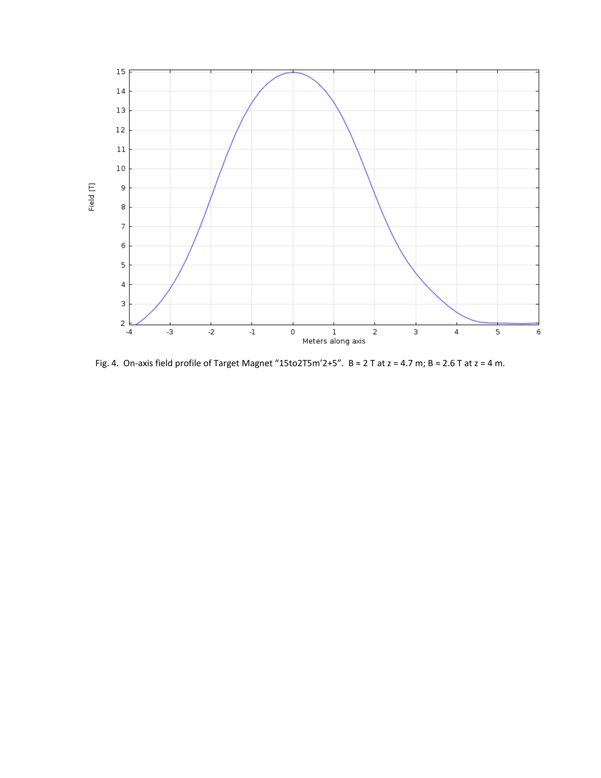

Fig. 4. On-axis field profile of Target Magnet "15to2T5m'2+5".  $B \approx 2$  T at  $z = 4.7$  m;  $B \approx 2.6$  T at  $z = 4$  m.